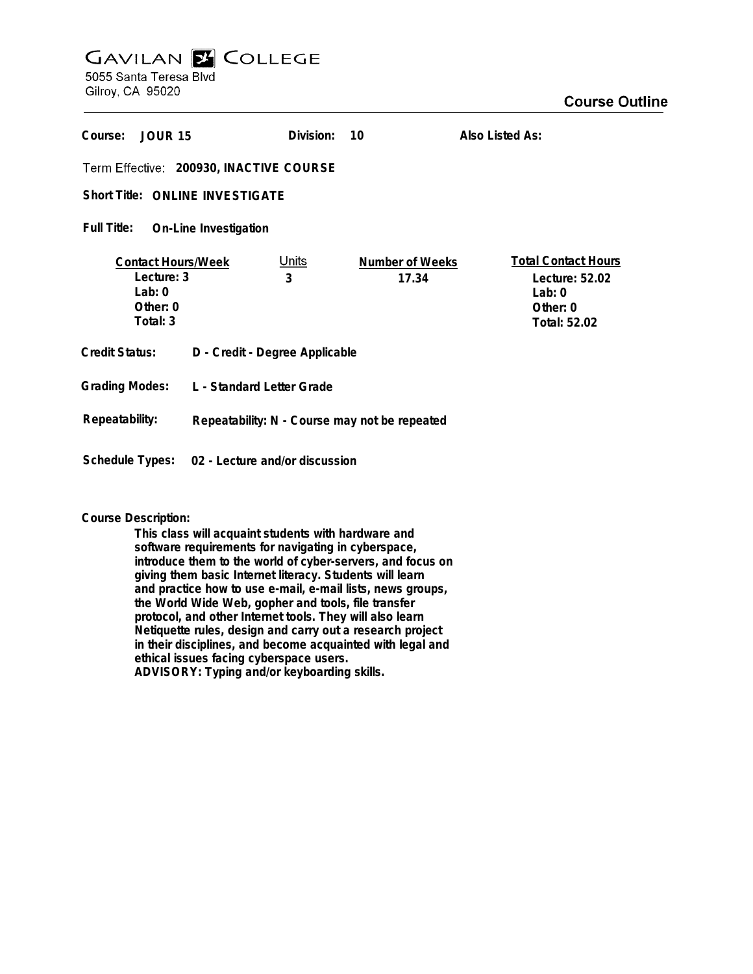# **GAVILAN E COLLEGE** 5055 Santa Teresa Blvd

Gilroy, CA 95020

| Course:                                                                    | <b>JOUR 15</b> |                                                | Division:         | 10                       | Also Listed As:                                                                      |
|----------------------------------------------------------------------------|----------------|------------------------------------------------|-------------------|--------------------------|--------------------------------------------------------------------------------------|
| Term Effective: 200930, INACTIVE COURSE                                    |                |                                                |                   |                          |                                                                                      |
| <b>Short Title: ONLINE INVESTIGATE</b>                                     |                |                                                |                   |                          |                                                                                      |
| Full Title:<br>On-Line Investigation                                       |                |                                                |                   |                          |                                                                                      |
| <b>Contact Hours/Week</b><br>Lecture: 3<br>Lab:0<br>Other: $0$<br>Total: 3 |                |                                                | <u>Units</u><br>3 | Number of Weeks<br>17.34 | <b>Total Contact Hours</b><br>Lecture: 52.02<br>Lab: $0$<br>Other: 0<br>Total: 52.02 |
| Credit Status:<br>D - Credit - Degree Applicable                           |                |                                                |                   |                          |                                                                                      |
| <b>Grading Modes:</b>                                                      |                | L - Standard Letter Grade                      |                   |                          |                                                                                      |
| Repeatability:                                                             |                | Repeatability: N - Course may not be repeated  |                   |                          |                                                                                      |
|                                                                            |                | Schedule Types: 02 - Lecture and/or discussion |                   |                          |                                                                                      |

## **Course Description:**

**This class will acquaint students with hardware and software requirements for navigating in cyberspace, introduce them to the world of cyber-servers, and focus on giving them basic Internet literacy. Students will learn and practice how to use e-mail, e-mail lists, news groups, the World Wide Web, gopher and tools, file transfer protocol, and other Internet tools. They will also learn Netiquette rules, design and carry out a research project in their disciplines, and become acquainted with legal and ethical issues facing cyberspace users. ADVISORY: Typing and/or keyboarding skills.**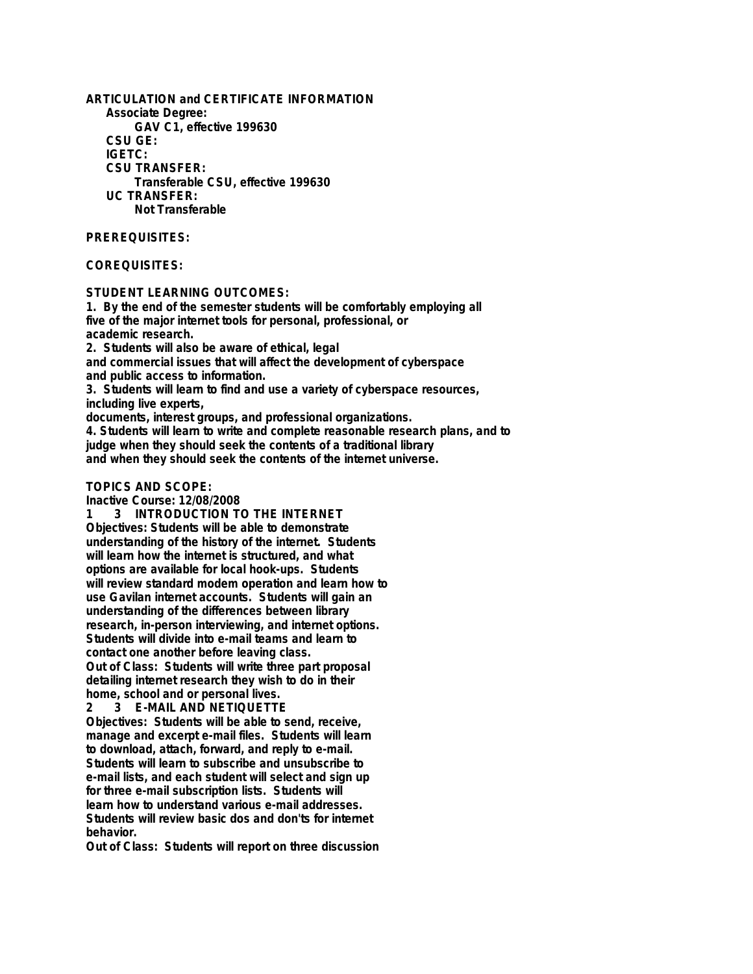**ARTICULATION and CERTIFICATE INFORMATION Associate Degree: GAV C1, effective 199630 CSU GE: IGETC: CSU TRANSFER: Transferable CSU, effective 199630 UC TRANSFER: Not Transferable**

### **PREREQUISITES:**

## **COREQUISITES:**

#### **STUDENT LEARNING OUTCOMES:**

**1. By the end of the semester students will be comfortably employing all five of the major internet tools for personal, professional, or academic research.**

**2. Students will also be aware of ethical, legal and commercial issues that will affect the development of cyberspace and public access to information.**

**3. Students will learn to find and use a variety of cyberspace resources, including live experts,**

**documents, interest groups, and professional organizations.**

**4. Students will learn to write and complete reasonable research plans, and to judge when they should seek the contents of a traditional library and when they should seek the contents of the internet universe.**

## **TOPICS AND SCOPE:**

**Inactive Course: 12/08/2008**

**1 3 INTRODUCTION TO THE INTERNET Objectives: Students will be able to demonstrate understanding of the history of the internet. Students will learn how the internet is structured, and what options are available for local hook-ups. Students will review standard modem operation and learn how to use Gavilan internet accounts. Students will gain an understanding of the differences between library research, in-person interviewing, and internet options. Students will divide into e-mail teams and learn to contact one another before leaving class. Out of Class: Students will write three part proposal detailing internet research they wish to do in their home, school and or personal lives.**

**2 3 E-MAIL AND NETIQUETTE**

**Objectives: Students will be able to send, receive, manage and excerpt e-mail files. Students will learn to download, attach, forward, and reply to e-mail. Students will learn to subscribe and unsubscribe to e-mail lists, and each student will select and sign up for three e-mail subscription lists. Students will learn how to understand various e-mail addresses. Students will review basic dos and don'ts for internet behavior.**

**Out of Class: Students will report on three discussion**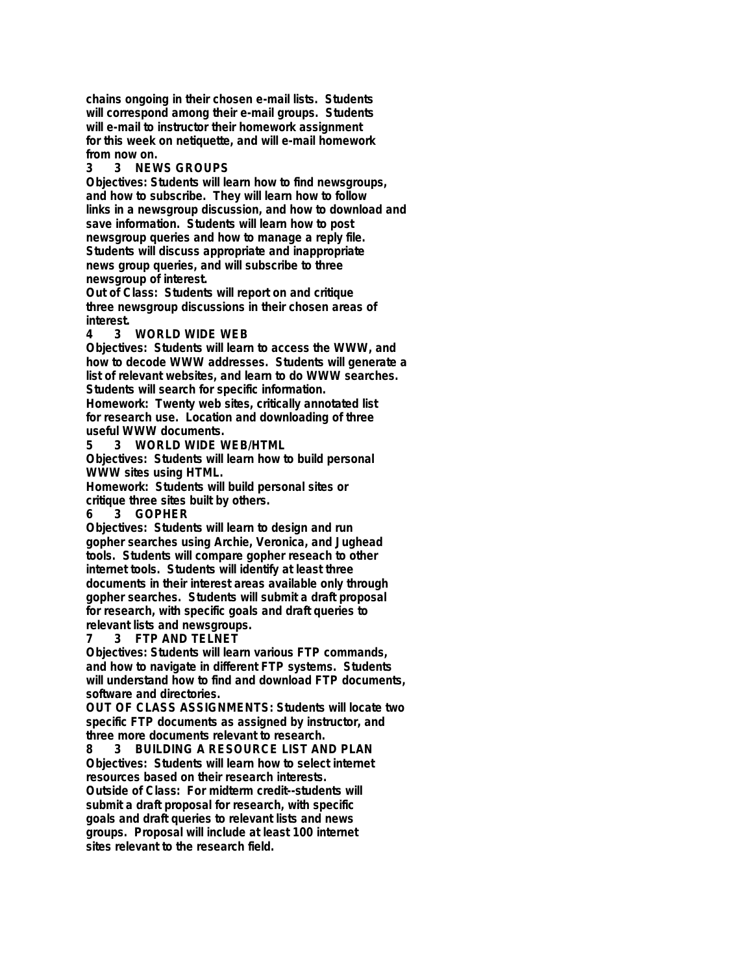**chains ongoing in their chosen e-mail lists. Students will correspond among their e-mail groups. Students will e-mail to instructor their homework assignment for this week on netiquette, and will e-mail homework from now on.**

**3 3 NEWS GROUPS**

**Objectives: Students will learn how to find newsgroups, and how to subscribe. They will learn how to follow links in a newsgroup discussion, and how to download and save information. Students will learn how to post newsgroup queries and how to manage a reply file. Students will discuss appropriate and inappropriate news group queries, and will subscribe to three newsgroup of interest.**

**Out of Class: Students will report on and critique three newsgroup discussions in their chosen areas of interest.**

**4 3 WORLD WIDE WEB**

**Objectives: Students will learn to access the WWW, and how to decode WWW addresses. Students will generate a list of relevant websites, and learn to do WWW searches. Students will search for specific information.**

**Homework: Twenty web sites, critically annotated list for research use. Location and downloading of three useful WWW documents.**

**5 3 WORLD WIDE WEB/HTML**

**Objectives: Students will learn how to build personal WWW sites using HTML.**

**Homework: Students will build personal sites or critique three sites built by others.**

**6 3 GOPHER**

**Objectives: Students will learn to design and run gopher searches using Archie, Veronica, and Jughead tools. Students will compare gopher reseach to other internet tools. Students will identify at least three documents in their interest areas available only through gopher searches. Students will submit a draft proposal for research, with specific goals and draft queries to relevant lists and newsgroups.**

# **7 3 FTP AND TELNET**

**Objectives: Students will learn various FTP commands, and how to navigate in different FTP systems. Students will understand how to find and download FTP documents, software and directories.**

**OUT OF CLASS ASSIGNMENTS: Students will locate two specific FTP documents as assigned by instructor, and three more documents relevant to research.**

**8 3 BUILDING A RESOURCE LIST AND PLAN Objectives: Students will learn how to select internet resources based on their research interests. Outside of Class: For midterm credit--students will submit a draft proposal for research, with specific goals and draft queries to relevant lists and news groups. Proposal will include at least 100 internet sites relevant to the research field.**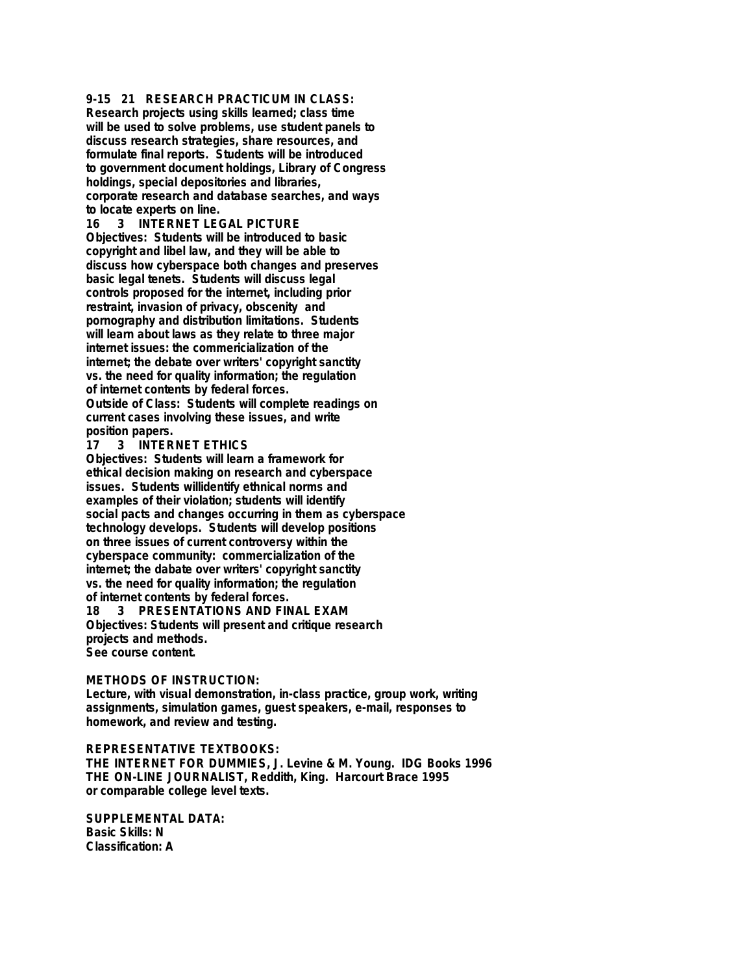**9-15 21 RESEARCH PRACTICUM IN CLASS: Research projects using skills learned; class time will be used to solve problems, use student panels to**

**discuss research strategies, share resources, and formulate final reports. Students will be introduced to government document holdings, Library of Congress holdings, special depositories and libraries, corporate research and database searches, and ways to locate experts on line.**

**16 3 INTERNET LEGAL PICTURE Objectives: Students will be introduced to basic copyright and libel law, and they will be able to discuss how cyberspace both changes and preserves basic legal tenets. Students will discuss legal controls proposed for the internet, including prior restraint, invasion of privacy, obscenity and pornography and distribution limitations. Students will learn about laws as they relate to three major internet issues: the commericialization of the internet; the debate over writers' copyright sanctity vs. the need for quality information; the regulation of internet contents by federal forces. Outside of Class: Students will complete readings on current cases involving these issues, and write**

**position papers.**

**17 3 INTERNET ETHICS**

**Objectives: Students will learn a framework for ethical decision making on research and cyberspace issues. Students willidentify ethnical norms and examples of their violation; students will identify social pacts and changes occurring in them as cyberspace technology develops. Students will develop positions on three issues of current controversy within the cyberspace community: commercialization of the internet; the dabate over writers' copyright sanctity vs. the need for quality information; the regulation of internet contents by federal forces. 18 3 PRESENTATIONS AND FINAL EXAM**

**Objectives: Students will present and critique research projects and methods. See course content.**

#### **METHODS OF INSTRUCTION:**

**Lecture, with visual demonstration, in-class practice, group work, writing assignments, simulation games, guest speakers, e-mail, responses to homework, and review and testing.**

#### **REPRESENTATIVE TEXTBOOKS:**

**THE INTERNET FOR DUMMIES, J. Levine & M. Young. IDG Books 1996 THE ON-LINE JOURNALIST, Reddith, King. Harcourt Brace 1995 or comparable college level texts.**

**SUPPLEMENTAL DATA: Basic Skills: N Classification: A**